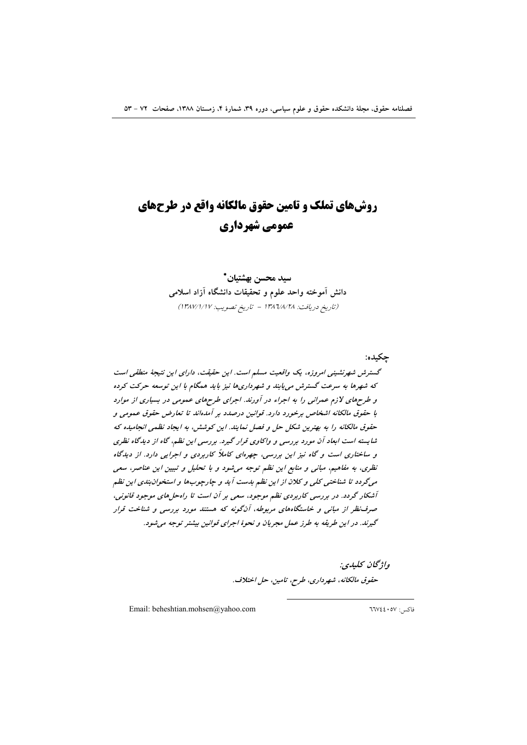## **روش های تملک و تامین حقوق مالکانه واقع در طرحهای** عمومي شهرداري

سيد محسن بهشتيان\* دانش آموخته واحد علوم و تحقیقات دانشگاه آزاد اسلامی (تاريخ دريافت: ١٣٨٦/٨/٢٨ - تاريخ تصويب: ١٣٨٧/١/١٧)

حكىدە: گسترش شهرنشینی امروزه، یک واقعیت مسلم است. این حقیقت، دارای این نتیجهٔ منطقی است که شهرها به سرعت گسترش می یابند و شهرداریها نیز باید همگام با این توسعه حرکت کرده و طرحهای لازم عمرانی را به اجراء در آورند. اجرای طرحهای عمومی در بسیاری از موارد با حقوق مالكانه اشخاص برخورد دارد. قوانين درصدد بر آمدهاند تا تعارض حقوق عمومى و حقوق مالکانه را به بهترین شکل حل و فصل نمایند. این کوشش، به ایجاد نظمی انجامیده که شایسته است ابعاد آن مورد بررسی و واکاوی قرار گیرد. بررسی این نظم، گاه از دیدگاه نظری و ساختاری است و گاه نیز این بررسی، چهرهای کاملاً کاربردی و اجرایی دارد. از دیدگاه نظری، به مفاهیم، مبانی و منابع این نظم توجه میشود و با تحلیل و تبیین این عناصر، سعی میگردد تا شناختی کلی و کلان از این نظم بدست آید و چارچوبها و استخوان بندی این نظم آشکار گردد. در بررسی کاربردی نظم موجود، سعی بر آن است تا راه حل های موجود قانونی، صرف نظر از مبانی و خاستگاههای مربوطه، آنگونه که هستند مورد بررسی و شناخت قرار گیرند. در این طریقه به طرز عمل مجریان و نحوهٔ اجرای قوانین بیشتر توجه می شود.

واژگان كليدي: حقوق مالكانه، شهرداري، طرح، تامين، حل اختلاف.

Email: beheshtian.mohsen@yahoo.com

فاكس: ٦٦٧٤٤٠٥٧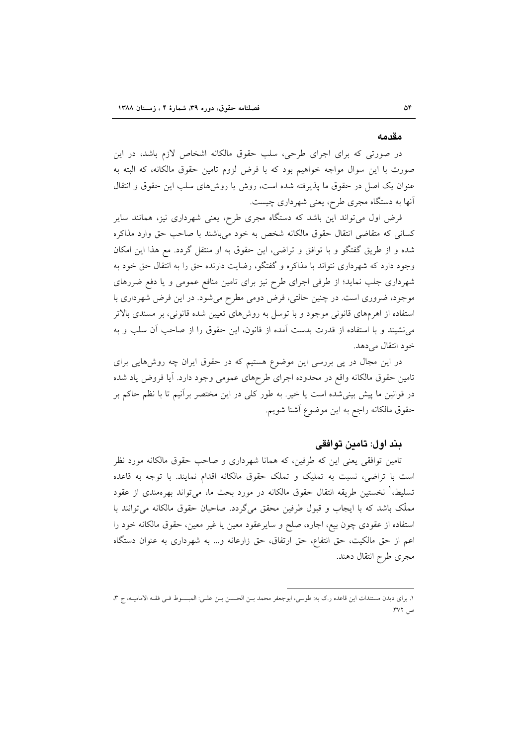#### مقدمه

در صورتی که برای اجرای طرحی، سلب حقوق مالکانه اشخاص لازم باشد، در این صورت با این سوال مواجه خواهیم بود که با فرض لزوم تامین حقوق مالکانه، که البته به عنوان یک اصل در حقوق ما پذیرفته شده است، روش یا روشهای سلب این حقوق و انتقال آنها به دستگاه مجری طرح، یعنی شهرداری چیست.

فرض اول میتواند این باشد که دستگاه مجری طرح، یعنی شهرداری نیز، همانند سایر كساني كه متقاضى انتقال حقوق مالكانه شخص به خود مىباشند با صاحب حق وارد مذاكره شده و از طریق گفتگو و با توافق و تراضی، این حقوق به او منتقل گردد. مع هذا این امکان وجود دارد که شهرداری نتواند با مذاکره و گفتگو، رضایت دارنده حق را به انتقال حق خود به شهرداری جلب نماید؛ از طرفی اجرای طرح نیز برای تامین منافع عمومی و یا دفع ضررهای موجود، ضروری است. در چنین حالتی، فرض دومی مطرح میشود. در این فرض شهرداری با استفاده از اهرمهای قانونی موجود و با توسل به روش۵ای تعیین شده قانونی، بر مسندی بالاتر می نشیند و با استفاده از قدرت بدست آمده از قانون، این حقوق را از صاحب آن سلب و به خود انتقال مي دهد.

در این مجال در پی بررسی این موضوع هستیم که در حقوق ایران چه روشهایی برای تامین حقوق مالکانه واقع در محدوده اجرای طرحهای عمومی وجود دارد. آیا فروض یاد شده در قوانین ما پیش بینیشده است یا خیر. به طور کلی در این مختصر برآنیم تا با نظم حاکم بر حقوق مالكانه راجع به اين موضوع آشنا شويم.

#### بند اول: تامين توافقي

تامین توافقی یعنی این که طرفین، که همانا شهرداری و صاحب حقوق مالکانه مورد نظر است با تراضی، نسبت به تملیک و تملک حقوق مالکانه اقدام نمایند. با توجه به قاعده تسليط،' نخستين طريقه انتقال حقوق مالكانه در مورد بحث ما، ميتواند بهرهمندي از عقود مملَّک باشد که با ایجاب و قبول طرفین محقق میگردد. صاحبان حقوق مالکانه می توانند با استفاده از عقودی چون بیع، اجاره، صلح و سایرعقود معین یا غیر معین، حقوق مالکانه خود را اعم از حق مالکیت، حق انتفاع، حق ارتفاق، حق زارعانه و... به شهرداری به عنوان دستگاه مجرى طرح انتقال دهند.

١. براي ديدن مستندات اين قاعده ر.ك به: طوسي، ابوجعفر محمد بـن الحـسن بـن علـى: المبـسوط فـي فقـه الاماميـه، ج ٣، ص ٣٧٢.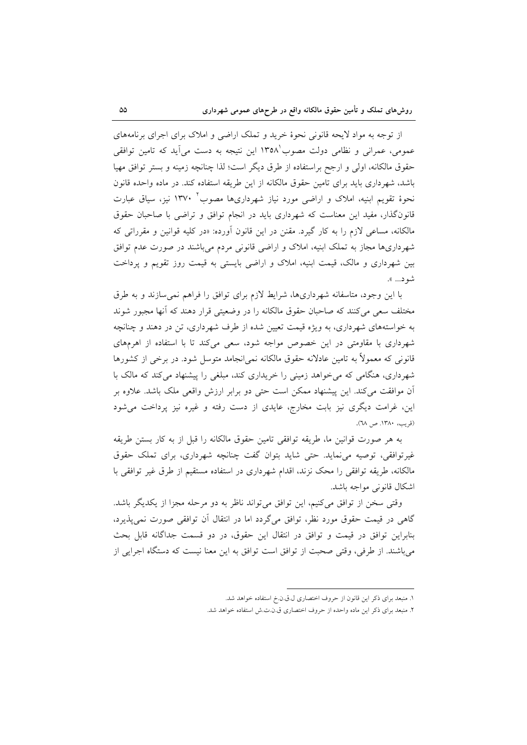از توجه به مواد لایحه قانونی نحوهٔ خرید و تملک اراضی و املاک برای اجرای برنامههای عمومی، عمرانی و نظامی دولت مصوب ۱۳۵۸ این نتیجه به دست می آید که تامین توافقی حقوق مالکانه، اولی و ارجح براستفاده از طرق دیگر است؛ لذا چنانچه زمینه و بستر توافق مهیا باشد، شهر داری باید برای تامین حقوق مالکانه از این طریقه استفاده کند. در ماده واحده قانون نحوهٔ تقویم ابنیه، املاک و اراضی مورد نیاز شهرداریها مصوب ۱۳۷۰ نیز، سیاق عبارت قانون گذار، مفید این معناست که شهرداری باید در انجام توافق و تراضی با صاحبان حقوق مالکانه، مساعی لازم را به کار گیرد. مقنن در این قانون آورده: «در کلیه قوانین و مقرراتی که شهرداریها مجاز به تملک ابنیه، املاک و اراضی قانونی مردم می باشند در صورت عدم توافق بین شهرداری و مالک، قیمت ابنیه، املاک و اراضی بایستی به قیمت روز تقویم و پرداخت شود... ».

با این وجود، متاسفانه شهرداریها، شرایط لازم برای توافق را فراهم نمی سازند و به طرق مختلف سعی میکنند که صاحبان حقوق مالکانه را در وضعیتی قرار دهند که أنها مجبور شوند به خواستههای شهرداری، به ویژه قیمت تعیین شده از طرف شهرداری، تن در دهند و چنانچه شهرداری با مقاومتی در این خصوص مواجه شود، سعی میکند تا با استفاده از اهرمهای قانونی که معمولاً به تامین عادلانه حقوق مالکانه نمی انجامد متوسل شود. در برخی از کشورها شهرداری، هنگامی که می خواهد زمینی را خریداری کند، مبلغی را پیشنهاد می کند که مالک با اّن موافقت میکند. این پیشنهاد ممکن است حتی دو برابر ارزش واقعی ملک باشد. علاوه بر این، غرامت دیگری نیز بابت مخارج، عایدی از دست رفته و غیره نیز پرداخت میشود (قریب، ۱۳۸۰. ص ۲۸).

به هر صورت قوانین ما، طریقه توافقی تامین حقوق مالکانه را قبل از به کار بستن طریقه غیرتوافقی، توصیه می نماید. حتی شاید بتوان گفت چنانچه شهرداری، برای تملک حقوق مالکانه، طریقه توافقی را محک نزند، اقدام شهرداری در استفاده مستقیم از طرق غیر توافقی با اشكال قانوني مواجه باشد.

وقتی سخن از توافق می کنیم، این توافق می تواند ناظر به دو مرحله مجزا از یکدیگر باشد. گاهی در قیمت حقوق مورد نظر، توافق میگردد اما در انتقال آن توافقی صورت نمی پذیرد، بنابراين توافق در قيمت و توافق در انتقال اين حقوق، در دو قسمت جداگانه قابل بحث می باشند. از طرفی، وقتی صحبت از توافق است توافق به این معنا نیست که دستگاه اجرایی از

١. منبعد براي ذكر اين قانون از حروف اختصاري ل.ق.ن.خ استفاده خواهد شد.

٢. منبعد براى ذكر اين ماده واحده از حروف اختصارى ق.ن.ت.ش استفاده خواهد شد.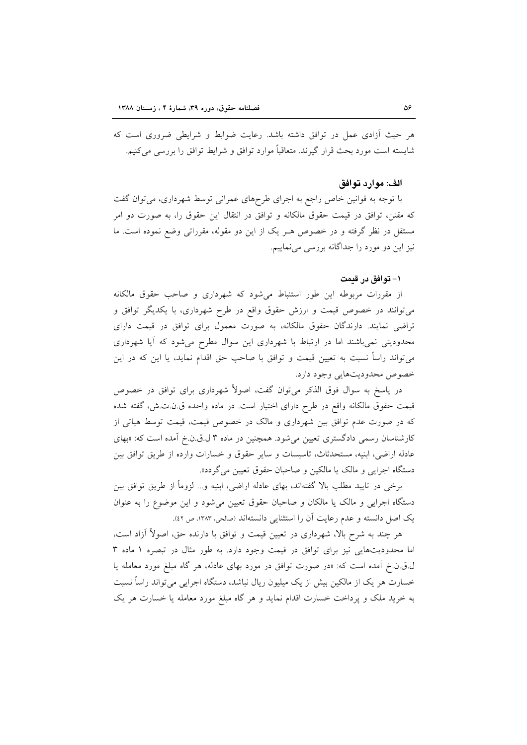هر حیث آزادی عمل در توافق داشته باشد. رعایت ضوابط و شرایطی ضروری است که شايسته است مورد بحث قرار گيرند. متعاقباً موارد توافق و شرايط توافق را بررسي مي كنيم.

#### الف: موارد توافق

با توجه به قوانین خاص راجع به اجرای طرحهای عمرانی توسط شهرداری، می توان گفت که مقنن، توافق در قیمت حقوق مالکانه و توافق در انتقال این حقوق را، به صورت دو امر مستقل در نظر گرفته و در خصوص هـر یک از این دو مقوله، مقرراتی وضع نموده است. ما نیز این دو مورد را جداگانه بررسی می نماییم.

#### ١- توافق در قىمت

از مقررات مربوطه این طور استنباط میشود که شهرداری و صاحب حقوق مالکانه میتوانند در خصوص قیمت و ارزش حقوق واقع در طرح شهرداری، با یکدیگر توافق و تراضی نمایند. دارندگان حقوق مالکانه، به صورت معمول برای توافق در قیمت دارای محدودیتی نمیباشند اما در ارتباط با شهرداری این سوال مطرح میشود که آیا شهرداری میتواند راساً نسبت به تعیین قیمت و توافق با صاحب حق اقدام نماید، یا این که در این خصوص محدوديتهايي وجود دارد.

در پاسخ به سوال فوق الذکر میتوان گفت، اصولاً شهرداری برای توافق در خصوص قیمت حقوق مالکانه واقع در طرح دارای اختیار است. در ماده واحده ق.ن.ت.ش، گفته شده که در صورت عدم توافق بین شهرداری و مالک در خصوص قیمت، قیمت توسط هیاتی از کارشناسان رسمی دادگستری تعیین می شود. همچنین در ماده ۳ ل.ق.ن.خ آمده است که: «بهای عادله اراضي، ابنيه، مستحدثاث، تاسيسات و ساير حقوق و خسارات وارده از طريق توافق بين دستگاه اجرایی و مالک یا مالکین و صاحبان حقوق تعیین می گردد».

برخی در تایید مطلب بالا گفتهاند، بهای عادله اراضی، ابنیه و… لزوماً از طریق توافق بین دستگاه اجرایی و مالک یا مالکان و صاحبان حقوق تعیین میشود و این موضوع را به عنوان يک اصل دانسته و عدم رعايت آن را استثنايي دانستهاند (صالحي، ١٣٨٣، ص ٤٢).

هر چند به شرح بالا، شهرداری در تعیین قیمت و توافق با دارنده حق، اصولاً آزاد است، اما محدودیتهایی نیز برای توافق در قیمت وجود دارد. به طور مثال در تبصره ۱ ماده ۳ ل.ق.ن.خ آمده است که: «در صورت توافق در مورد بهای عادله، هر گاه مبلغ مورد معامله یا خسارت هر یک از مالکین بیش از یک میلیون ریال نباشد، دستگاه اجرایی می تواند راساً نسبت به خرید ملک و یرداخت خسارت اقدام نماید و هر گاه مبلغ مورد معامله یا خسارت هر یک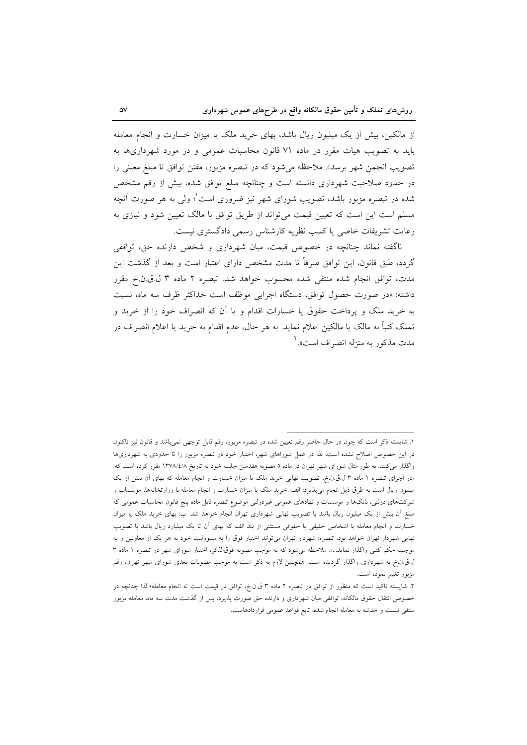از مالکین، بیش از یک میلیون ریال باشد، بهای خرید ملک یا میزان خسارت و انجام معامله باید به تصویب هیات مقرر در ماده ۷۱ قانون محاسبات عمومی و در مورد شهرداریها به تصویب انجمن شهر برسد». ملاحظه میشود که در تبصره مزبور، مقنن توافق تا مبلغ معینی را در حدود صلاحیت شهرداری دانسته است و چنانچه مبلغ توافق شده، بیش از رقم مشخص شده در تبصره مزبور باشد، تصویب شورای شهر نیز ضروری است ٔ؛ ولی به هر صورت آنچه مسلم است این است که تعیین قیمت می تواند از طریق توافق با مالک تعیین شود و نیازی به رعايت تشريفات خاصي يا كسب نظريه كارشناس رسمي دادگستري نيست.

ناگفته نماند چنانچه در خصوص قیمت، میان شهرداری و شخص دارنده حق، توافقی گردد، طبق قانون، این توافق صرفاً تا مدت مشخص دارای اعتبار است و بعد از گذشت این مدت، توافق انجام شده منتفى شده محسوب خواهد شد. تبصره ٢ ماده ٣ ل.ق.ن.خ مقرر داشته: «در صورت حصول توافق، دستگاه اجرایی موظف است حداکثر ظرف سه ماه، نسبت به خرید ملک و پرداخت حقوق یا خسارات اقدام و یا أن که انصراف خود را از خرید و تملک کتباً به مالک یا مالکین اعلام نماید. به هر حال، عدم اقدام به خرید یا اعلام انصراف در مدت مذکور به منزله انصراف است».<sup>۲</sup>

۱. شایسته ذکر است که چون در حال حاضر رقم تعیین شده در تبصره مزبور، رقم قابل توجهی نمیباشد و قانون نیز تاکنون در این خصوص اصلاح نشده است، لذا در عمل شوراهای شهر، اختیار خود در تبصره مزبور را تا حدودی به شهرداریها واگذار میکنند. به طور مثال شورای شهر تهران در ماده ۵ مصوبه هفدمین جلسه خود به تاریخ ۱۳۷۸/٤/۸ مقرر کرده است که: «در اجرای تبصره ۱ ماده ۳ ل.ق.ن.خ، تصویب نهایی خرید ملک یا میزان خسارت و انجام معامله که بهای آن بیش از یک میلیون ریال است به طرق ذیل انجام می(پذیرد: الف: خرید ملک یا میزان خسارت و انجام معامله با وزارتخانهها، موسسات و شرکتهای دولتی، بانکها و موسسات و نهادهای عمومی غیردولتی موضوع تبصره ذیل ماده پنج قانون محاسبات عمومی که مبلغ اّن بیش از یک میلیون ریال باشد با تصویب نهایی شهرداری تهران انجام خواهد شد. ب: بهای خرید ملک یا میزان خسارت و انجام معامله با اشخاص حقیقی یا حقوقی مستثنی از بند الف که بهای آن تا یک میلیارد ریال باشد با تصویب نهایی شهردار تهران خواهد بود. تبصره: شهردار تهران می[تواند اختیار فوق را به مسوولیت خود به هر یک از معاونین و به موجب حکم کتبی واگذار نماید...». ملاحظه می شود که به موجب مصوبه فوقالذکر، اختیار شورای شهر در تبصره ۱ ماده ۳ ل.ق.ن.خ به شهرداری واگذار گردیده است. همچنین لازم به ذکر است به موجب مصوبات بعدی شورای شهر تهران، رقم مزبور تغییر نموده است.

۲. شایسته تاکید است که منظور از توافق در تبصره ۲ ماده ۳ ق.ن.خ، توافق در قیمت است نه انجام معامله؛ لذا چنانچه در خصوص انتقال حقوق مالكانه، توافقي ميان شهرداري و دارنده حق صورت پذيرد، پس از گذشت مدت سه ماه، معامله مزبور منتفی نیست و خدشه به معامله انجام شده، تابع قواعد عمومی قراردادهاست.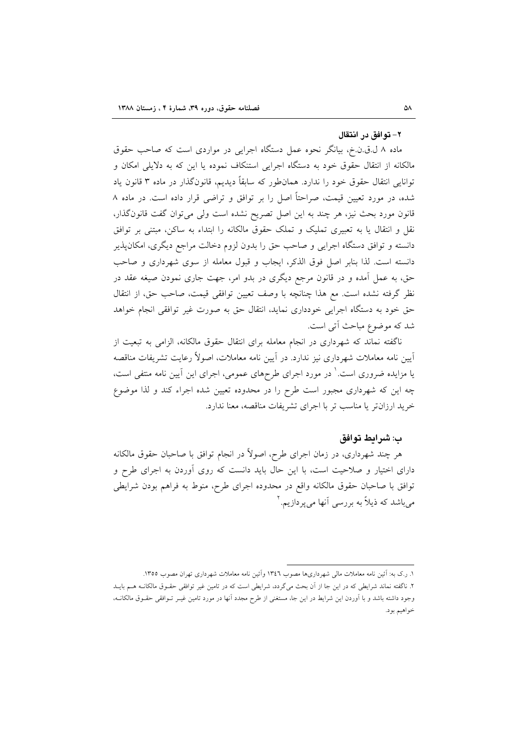#### ٢- توافق در انتقال

ماده ۸ ل.ق.ن.خ، بیانگر نحوه عمل دستگاه اجرایی در مواردی است که صاحب حقوق مالکانه از انتقال حقوق خود به دستگاه اجرایی استنکاف نموده یا این که به دلایلی امکان و توانایی انتقال حقوق خود را ندارد. همانطور که سابقاً دیدیم، قانونگذار در ماده ۳ قانون یاد شده، در مورد تعیین قیمت، صراحتاً اصل را بر توافق و تراضی قرار داده است. در ماده ۸ قانون مورد بحث نیز، هر چند به این اصل تصریح نشده است ولی میتوان گفت قانون گذار، نقل و انتقال یا به تعبیری تملیک و تملک حقوق مالکانه را ابتداء به ساکن، مبتنی بر توافق دانسته و توافق دستگاه اجرایی و صاحب حق را بدون لزوم دخالت مراجع دیگری، امکانپذیر دانسته است. لذا بنابر اصل فوق الذكر، ايجاب و قبول معامله از سوى شهردارى و صاحب حق، به عمل آمده و در قانون مرجع دیگری در بدو امر، جهت جاری نمودن صیغه عقد در نظر گرفته نشده است. مع هذا چنانچه با وصف تعیین توافقی قیمت، صاحب حق، از انتقال حق خود به دستگاه اجرایی خودداری نماید، انتقال حق به صورت غیر توافقی انجام خواهد شد که موضوع مباحث اًتى است.

ناگفته نماند که شهرداری در انجام معامله برای انتقال حقوق مالکانه، الزامی به تبعیت از اّیین نامه معاملات شهرداری نیز ندارد. در اّیین نامه معاملات، اصولاً رعایت تشریفات مناقصه یا مزایده ضروری است.' در مورد اجرای طرحهای عمومی، اجرای این آیین نامه منتفی است، چه این که شهرداری مجبور است طرح را در محدوده تعیین شده اجراء کند و لذا موضوع خرید ارزانتر یا مناسب تر با اجرای تشریفات مناقصه، معنا ندارد.

#### ب: شرايط توافق

هر چند شهرداری، در زمان اجرای طرح، اصولاً در انجام توافق با صاحبان حقوق مالکانه دارای اختیار و صلاحیت است، با این حال باید دانست که روی آوردن به اجرای طرح و توافق با صاحبان حقوق مالكانه واقع در محدوده اجراى طرح، منوط به فراهم بودن شرايطى می باشد که ذیلاً به بررسی آنها می یردازیم.<sup>۲</sup>

١. رک به: أئين نامه معاملات مالي شهرداريها مصوب ١٣٤٦ وآئين نامه معاملات شهرداري تهران مصوب ١٣٥٥. ۲. ناگفته نماند شرایطی که در این جا از آن بحث میگردد، شرایطی است که در تامین غیر توافقی حقـوق مالکانــه هــم بایــد وجود داشته باشد و با اَوردن این شرایط در این جا، مستغنی از طرح مجدد اَنها در مورد تامین غیـر تـوافقی حقـوق مالکانــه، خواهيم بود.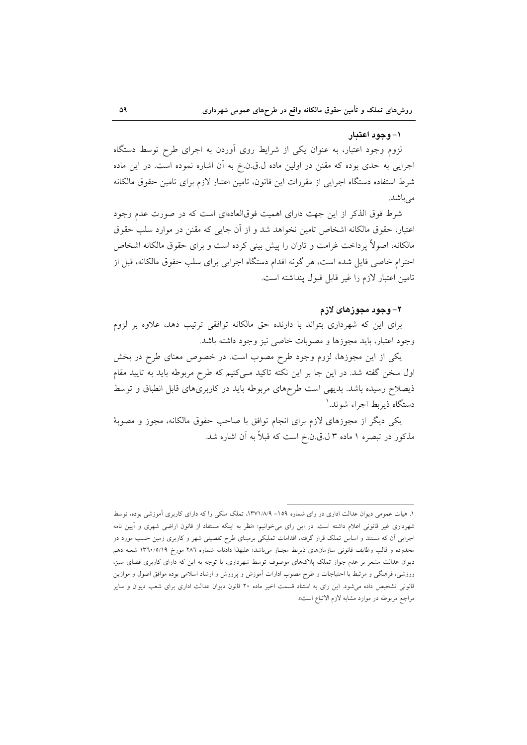#### ۱- وجود اعتبار

لزوم وجود اعتبار، به عنوان یکی از شرایط روی آوردن به اجرای طرح توسط دستگاه اجرایی به حدی بوده که مقنن در اولین ماده ل.ق.ن.خ به آن اشاره نموده است. در این ماده شرط استفاده دستگاه اجرایی از مقررات این قانون، تامین اعتبار لازم برای تامین حقوق مالکانه مىباشد.

شرط فوق الذکر از این جهت دارای اهمیت فوقالعادهای است که در صورت عدم وجود اعتبار، حقوق مالكانه اشخاص تامين نخواهد شد و از أن جايبي كه مقنن در موارد سلب حقوق مالکانه، اصولاً یرداخت غرامت و تاوان را پیش بینی کرده است و برای حقوق مالکانه اشخاص احترام خاصی قایل شده است، هر گونه اقدام دستگاه اجرایی برای سلب حقوق مالکانه، قبل از تامين اعتبار لازم را غير قابل قبول ينداشته است.

#### ۲– وجود مجوزهای لازم

برای این که شهرداری بتواند با دارنده حق مالکانه توافقی ترتیب دهد، علاوه بر لزوم وجود اعتبار، بايد مجوزها و مصوبات خاصي نيز وجود داشته باشد.

یکی از این مجوزها، لزوم وجود طرح مصوب است. در خصوص معنای طرح در بخش اول سخن گفته شد. در این جا بر این نکته تاکید مـیکنیم که طرح مربوطه باید به تایید مقام ذیصلاح رسیده باشد. بدیهی است طرحهای مربوطه باید در کاربریهای قابل انطباق و توسط دستگاه ذیریط اجراء شوند. ۱

یکی دیگر از مجوزهای لازم برای انجام توافق با صاحب حقوق مالکانه، مجوز و مصوبهٔ مذکور در تبصره ۱ ماده ۳ ل.ق.ن.خ است که قبلاً به آن اشاره شد.

۱. هیات عمومی دیوان عدالت اداری در رای شماره ۱۵۹– ۱۳۷۱/۸/۹، تملک ملکی را که دارای کاربری آموزشی بوده، توسط شهرداری غیر قانونی اعلام داشته است. در این رای میخوانیم: «نظر به اینکه مستفاد از قانون اراضی شهری و آیین نامه اجرایی آن که مستند و اساس تملک قرار گرفته، اقدامات تملیکی برمبنای طرح تفصیلی شهر و کاربری زمین حسب مورد در محدوده و قالب وظایف قانونی سازمانهای ذیربط مجباز میباشد؛ علیهذا دادنامه شماره ٢٨٦ مورخ ١٣٦٠/٥/١٩ شعبه دهم دیوان عدالت مشعر بر عدم جواز تملک پلاکهای موصوف توسط شهرداری، با توجه به این که دارای کاربری فضای سبز، ورزشی، فرهنگی و مرتبط با احتیاجات و طرح مصوب ادارات آموزش و پرورش و ارشاد اسلامی بوده موافق اصول و موازین قانونی تشخیص داده می شود. این رای به استناد قسمت اخیر ماده ۲۰ قانون دیوان عدالت اداری برای شعب دیوان و سایر مراجع مربوطه در موارد مشابه لازم الاتباع است».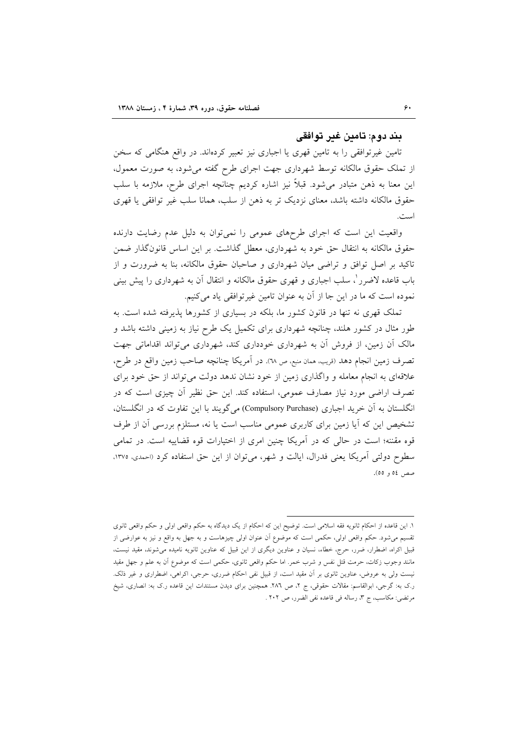#### يند دو م: تامين غير توافقي

تامین غیر توافقی را به تامین قهری یا اجباری نیز تعبیر کردهاند. در واقع هنگامی که سخن از تملک حقوق مالکانه توسط شهرداری جهت اجرای طرح گفته میشود، به صورت معمول، این معنا به ذهن متبادر میشود. قبلاً نیز اشاره کردیم چنانچه اجرای طرح، ملازمه با سلب حقوق مالکانه داشته باشد، معنای نزدیک تر به ذهن از سلب، همانا سلب غیر توافقی یا قهری است.

واقعیت این است که اجرای طرحهای عمومی را نمی توان به دلیل عدم رضایت دارنده حقوق مالکانه به انتقال حق خود به شهرداری، معطل گذاشت. بر این اساس قانون گذار ضمن تاکید بر اصل توافق و تراضی میان شهرداری و صاحبان حقوق مالکانه، بنا به ضرورت و از باب قاعده لاضرر ْ، سلب اجباري و قهري حقوق مالكانه و انتقال أن به شهرداري را پيش بيني نموده است كه ما در اين جا از آن به عنوان تامين غيرتوافقي ياد ميكنيم.

تملک قهری نه تنها در قانون کشور ما، بلکه در بسیاری از کشورها پذیرفته شده است. به طور مثال در کشور هلند، چنانچه شهرداری برای تکمیل یک طرح نیاز به زمینی داشته باشد و مالک آن زمین، از فروش آن به شهرداری خودداری کند، شهرداری می تواند اقداماتی جهت تصرف زمین انجام دهد (قریب، همان منبع، ص ٦٨). در آمریکا چنانچه صاحب زمین واقع در طرح، علاقهای به انجام معامله و واگذاری زمین از خود نشان ندهد دولت می تواند از حق خود برای تصرف اراضی مورد نیاز مصارف عمومی، استفاده کند. این حق نظیر آن چیزی است که در انگلستان به اّن خرید اجباری (Compulsory Purchase) می گویند با این تفاوت که در انگلستان، تشخیص این که آیا زمین برای کاربری عمومی مناسب است یا نه، مستلزم بررسی آن از طرف قوه مقننه؛ است در حالی که در آمریکا چنین امری از اختیارات قوه قضاییه است. در تمامی سطوح دولتی آمریکا یعنی فدرال، ایالت و شهر، می توان از این حق استفاده کرد (احمدی، ۱۳۷۵، صص ٥٤ و ٥٥).

١. اين قاعده از احكام ثانويه فقه اسلامي است. توضيح اين كه احكام از يك ديدگاه به حكم واقعي اولي و حكم واقعي ثانوي تقسیم میشود. حکم واقعی اولی، حکمی است که موضوع أن عنوان اولی چیزهاست و به جهل به واقع و نیز به عوارضی از قبیل اکراه، اضطرار، ضرر، حرج، خطاء، نسیان و عناوین دیگری از این قبیل که عناوین ثانویه نامیده می شوند، مقید نیست، مانند وجوب زکات، حرمت قتل نفس و شرب خمر. اما حکم واقعی ثانوی، حکمی است که موضوع آن به علم و جهل مقید نیست ولی به عروض، عناوین ثانوی بر اَن مقید است، از قبیل نفی احکام ضرری، حرجی، اکراهی، اضطراری و غیر ذلک. ر.ک به: گرجی، ابوالقاسم: مقالات حقوقی، ج ۲، ص ۲۸٦. همچنین برای دیدن مستندات این قاعده ر.ک به: انصاری، شیخ مرتضى: مكاسب، ج ٣، رساله في قاعده نفي الضرر، ص ٢٠٢ .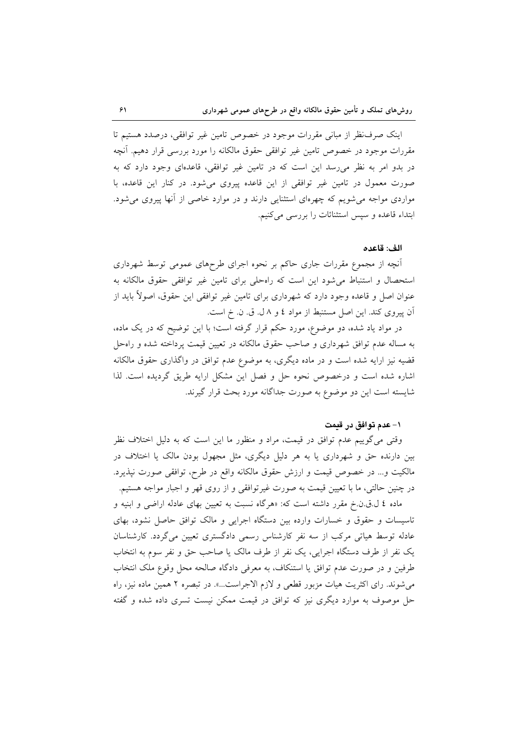اینک صرف نظر از مبانی مقررات موجود در خصوص تامین غیر توافقی، درصدد هستیم تا مقررات موجود در خصوص تامین غیر توافقی حقوق مالکانه را مورد بررسی قرار دهیم. آنچه در بدو امر به نظر می رسد این است که در تامین غیر توافقی، قاعدهای وجود دارد که به صورت معمول در تامین غیر توافقی از این قاعده پیروی میشود. در کنار این قاعده، با مواردی مواجه میشویم که چهرهای استثنایی دارند و در موارد خاصی از آنها پیروی می شود. ابتداء قاعده و سپس استثنائات را بررسی می کنیم.

#### الف: قاعده

أنچه از مجموع مقررات جاری حاکم بر نحوه اجرای طرحهای عمومی توسط شهرداری استحصال و استنباط می شود این است که راهحلی برای تامین غیر توافقی حقوق مالکانه به عنوان اصل و قاعده وجود دارد که شهرداری برای تامین غیر توافقی این حقوق، اصولاً باید از آن پیروی کند. این اصل مستنبط از مواد ٤ و ٨ ل. ق. ن. خ است.

در مواد یاد شده، دو موضوع، مورد حکم قرار گرفته است؛ با این توضیح که در یک ماده، به مساله عدم توافق شهرداری و صاحب حقوق مالکانه در تعیین قیمت پرداخته شده و راهحل قضیه نیز ارایه شده است و در ماده دیگری، به موضوع عدم توافق در واگذاری حقوق مالکانه اشاره شده است و درخصوص نحوه حل و فصل این مشکل ارایه طریق گردیده است. لذا شايسته است اين دو موضوع به صورت جداگانه مورد بحث قرار گيرند.

#### ۱– عدم توافق در قدمت

وقتی می گوییم عدم توافق در قیمت، مراد و منظور ما این است که به دلیل اختلاف نظر بین دارنده حق و شهرداری یا به هر دلیل دیگری، مثل مجهول بودن مالک یا اختلاف در مالکیت و... در خصوص قیمت و ارزش حقوق مالکانه واقع در طرح، توافقی صورت نپذیرد. در چنین حالتی، ما با تعیین قیمت به صورت غیر توافقی و از روی قهر و اجبار مواجه هستیم.

ماده ٤ ل.ق.ن.خ مقرر داشته است كه: «هرگاه نسبت به تعيين بهاى عادله اراضي و ابنيه و تاسیسات و حقوق و خسارات وارده بین دستگاه اجرایی و مالک توافق حاصل نشود، بهای عادله توسط هیاتی مرکب از سه نفر کارشناس رسمی دادگستری تعیین می گردد. کارشناسان يک نفر از طرف دستگاه اجرايي، يک نفر از طرف مالک يا صاحب حق و نفر سوم به انتخاب طرفین و در صورت عدم توافق یا استنکاف، به معرفی دادگاه صالحه محل وقوع ملک انتخاب میشوند. رای اکثریت هیات مزبور قطعی و لازم الاجراست...». در تبصره ۲ همین ماده نیز، راه حل موصوف به موارد دیگری نیز که توافق در قیمت ممکن نیست تسری داده شده و گفته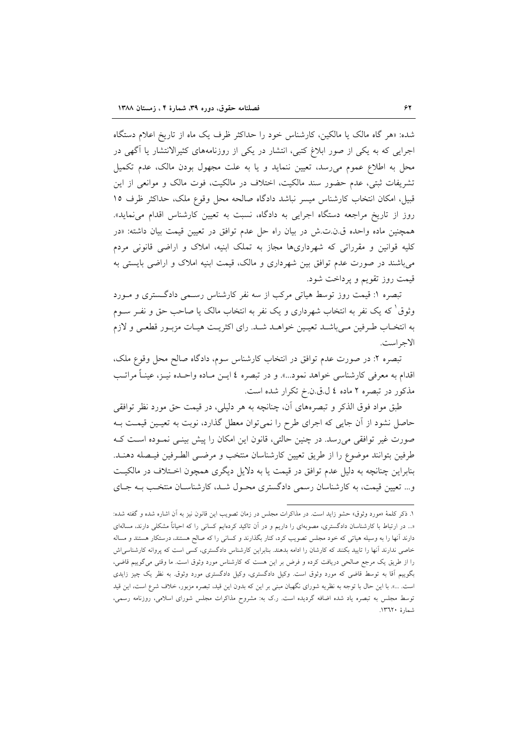شده: «هر گاه مالک یا مالکین، کارشناس خود را حداکثر ظرف یک ماه از تاریخ اعلام دستگاه اجرایی که به یکی از صور ابلاغ کتبی، انتشار در یکی از روزنامههای کثیرالانتشار یا آگهی در محل به اطلاع عموم می رسد، تعیین ننماید و یا به علت مجهول بودن مالک، عدم تکمیل تشریفات ثبتی، عدم حضور سند مالکیت، اختلاف در مالکیت، فوت مالک و موانعی از این قبیل، امکان انتخاب کارشناس میسر نباشد دادگاه صالحه محل وقوع ملک، حداکثر ظرف ١٥ روز از تاریخ مراجعه دستگاه اجرایی به دادگاه، نسبت به تعیین کارشناس اقدام می نماید». همچنین ماده واحده ق.ن.ت.ش در بیان راه حل عدم توافق در تعیین قیمت بیان داشته: «در کلیه قوانین و مقرراتی که شهرداریها مجاز به تملک ابنیه، املاک و اراضی قانونی مردم میباشند در صورت عدم توافق بین شهرداری و مالک، قیمت ابنیه املاک و اراضی بایستی به قيمت روز تقويم و پرداخت شود.

تبصره ۱: قیمت روز توسط هیاتی مرکب از سه نفر کارشناس رسـمی دادگـستری و مـورد وثوق ٰ که یک نفر به انتخاب شهرداری و یک نفر به انتخاب مالک یا صاحب حق و نفـر ســوم به انتخـاب طـرفين مـيباشــد تعيـين خواهــد شــد. راى اكثريـت هيـات مزبـور قطعـى و لازم الاجراست.

تبصره ۲: در صورت عدم توافق در انتخاب کارشناس سوم، دادگاه صالح محل وقوع ملک، اقدام به معرفی کارشناسی خواهد نمود...». و در تبصره ٤ ایــن مــاده واحــده نیــز، عینــأ مراتــب مذکور در تبصره ۲ ماده ٤ ل.ق.ن.خ تکرار شده است.

طبق مواد فوق الذکر و تبصرههای آن، چنانچه به هر دلیلی، در قیمت حق مورد نظر توافقی حاصل نشود از آن جایی که اجرای طرح را نمی توان معطل گذارد، نوبت به تعیـین قیمـت بـه صورت غیر توافقی می رسد. در چنین حالتی، قانون این امکان را پیش بینـی نمـوده اسـت کـه طرفين بتوانند موضوع را از طريق تعيين كارشناسان منتخب و مرضـى الطـرفين فيـصله دهنـد. بنابراین چنانچه به دلیل عدم توافق در قیمت یا به دلایل دیگری همچون اخـتلاف در مالکیـت و... تعیین قیمت، به کارشناسان رسمی دادگستری محـول شـد، کارشناسـان منتخـب بـه جـای

١. ذكر كلمهٔ «مورد وثوق» حشو زايد است. در مذاكرات مجلس در زمان تصويب اين قانون نيز به آن اشاره شده و گفته شده: «... در ارتباط با کارشناسان دادگستری، مصوبهای را داریم و در آن تاکید کردهایم کسانی را که احیاناً مشکلی دارند، مسالهای دارند آنها را به وسیله هیاتی که خود مجلس تصویب کرد، کنار بگذارند و کسانی را که صالح هستند، درستکار هستند و مساله خاصی ندارند آنها را تایید بکنند که کارشان را ادامه بدهند. بنابراین کارشناس دادگستری، کسی است که پروانه کارشناسی|ش را از طریق یک مرجع صالحی دریافت کرده و فرض بر این هست که کارشناس مورد وثوق است. ما وقتی میگوییم قاضی، بگوییم آقا به توسط قاضی که مورد وثوق است. وکیل دادگستری، وکیل دادگستری مورد وثوق. به نظر یک چیز زایدی است. …». با این حال با توجه به نظریه شورای نگهبان مبنی بر این که بدون این قید، تبصره مزبور، خلاف شرع است، این قید توسط مجلس به تبصره یاد شده اضافه گردیده است. رک به: مشروح مذاکرات مجلس شورای اسلامی، روزنامه رسمی، شمارة ١٣٦٢٠.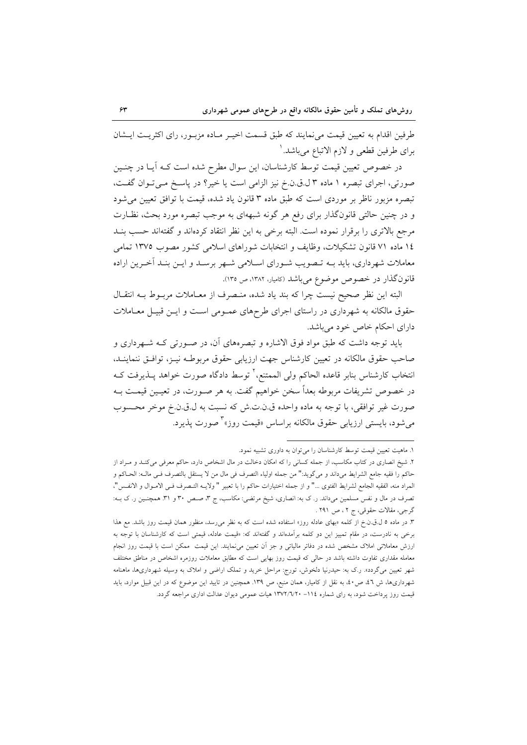طرفین اقدام به تعیین قیمت می نمایند که طبق قسمت اخیـر مـاده مزبـور، رای اکثریـت ایـشان براي طرفين قطعي و لازم الاتباع ميباشد. `

در خصوص تعیین قیمت توسط کارشناسان، این سوال مطرح شده است کـه أیـا در چنــین صورتی، اجرای تبصره ۱ ماده ۳ ل.ق.ن.خ نیز الزامی است یا خیر؟ در پاسخ می توان گفت، تبصره مزبور ناظر بر موردی است که طبق ماده ۳ قانون یاد شده، قیمت با توافق تعیین می شود و در چنین حالتی قانونگذار برای رفع هر گونه شبههای به موجب تبصره مورد بحث، نظـارت مرجع بالاترى را برقرار نموده است. البته برخى به اين نظر انتقاد كردهاند و گفتهاند حسب بنـد ١٤ ماده ٧١ قانون تشكيلات، وظايف و انتخابات شوراهاي اسلامي كشور مصوب ١٣٧٥ تمامي معاملات شهرداری، باید بــه تــصویب شــورای اســلامی شــهر برســد و ایــن بنــد اَخــرین اراده قانون گذار در خصوص موضوع می باشد (کامیار، ۱۳۸۲، ص ۱۳۵).

البته اين نظر صحيح نيست چرا كه بند ياد شده، منـصرف از معـاملات مربـوط بــه انتقـال حقوق مالکانه به شهرداری در راستای اجرای طرحهای عمـومی اسـت و ایـن قبیـل معـاملات دارای احکام خاص خود میباشد.

باید توجه داشت که طبق مواد فوق الاشاره و تبصرههای آن، در صـورتی کـه شـهرداری و صاحب حقوق مالکانه در تعیین کارشناس جهت ارزیابی حقوق مربوطـه نیـز، توافـق ننماینـد. انتخاب كارشناس بنابر قاعده الحاكم ولي الممتنع،<sup>٢</sup> توسط دادگاه صورت خواهد پــذيرفت كــه در خصوص تشریفات مربوطه بعداً سخن خواهیم گفت. به هر صـورت، در تعیـین قیمـت بـه صورت غير توافقي، با توجه به ماده واحده ق.ن.ت.ش كه نسبت به ل.ق.ن.خ موخر محـسوب میشود، بایستی ارزیابی حقوق مالکانه براساس «قیمت روز»<sup>۳</sup> صورت یذیرد.

۱. ماهیت تعیین قیمت توسط کارشناسان را میتوان به داوری تشبیه نمود.

۲. شیخ انصاری در کتاب مکاسب، از جمله کسانی را که امکان دخالت در مال اشخاص دارد، حاکم معرفی میکنـد و مـراد از حاكم را فقيه جامع الشرايط مىداند و مىگويد:" من جمله اولياء التصرف فى مال من لا يستقل بالتصرف فـى مالــه: الحــاكم و المراد منه، الفقيه الجامع لشرايط الفتوى …" و از جمله اختيارات حاكم را با تعبير " ولايــه التــصرف فــي الامــوال و الانفــس"، تصرف در مال و نفس مسلمین میداند. ر. ک به: انصاری، شیخ مرتضی: مکاسب، ج ۳، صـص ۳۰ و ۳۱. همچنـین ر. ک بــه: گرجي، مقالات حقوقي، ج ٢ ، ص ٢٩١ .

۳. در ماده ۵ ل.ق.ن.خ از کلمه «بهای عادله روز» استفاده شده است که به نظر می رسد، منظور همان قیمت روز باشد. مع هذا برخی به نادرست، در مقام تمییز این دو کلمه برآمدهاند و گفتهاند که: «قیمت عادله، قیمتی است که کارشناسان با توجه به ارزش معاملاتی املاک مشخص شده در دفاتر مالیاتی و جز آن تعیین میiمایند. این قیمت ممکن است با قیمت روز انجام معامله مقداری تفاوت داشته باشد در حالی که قیمت روز بهایی است که مطابق معاملات روزمره اشخاص در مناطق مختلف شهر تعیین میگردد». ر.ک به: حیدرنیا دلخوش، تورج: مراحل خرید و تملک اراضی و املاک به وسیله شهرداریها، ماهنامه شهرداریها، ش ٤٦، ص٤٠، به نقل از کامیار، همان منبع، ص ١٣٩. همچنین در تایید این موضوع که در این قبیل موارد، باید قیمت روز پرداخت شود، به رای شماره ۱۱۶– ۱۳۷۲/۷۲۰ هیات عمومی دیوان عدالت اداری مراجعه گردد.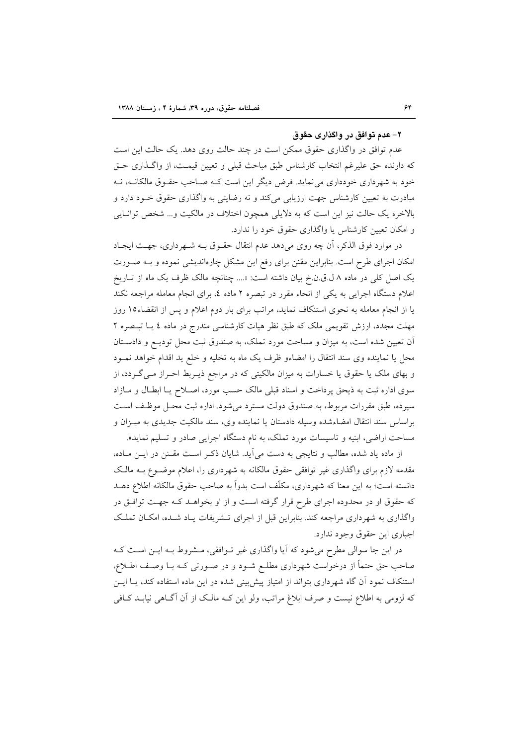#### ۲– عدم توافق در. واگذاری حقوق

عدم توافق در واگذاری حقوق ممکن است در چند حالت روی دهد. یک حالت این است که دارنده حق علیرغم انتخاب کارشناس طبق مباحث قبلی و تعیین قیمت، از واگـذاری حـق خود به شهرداری خودداری می نماید. فرض دیگر این است کـه صـاحب حقـوق مالکانــه، نــه مبادرت به تعیین کارشناس جهت ارزیابی میکند و نه رضایتی به واگذاری حقوق خــود دارد و بالاخره یک حالت نیز این است که به دلایلی همچون اختلاف در مالکیت و… شخص توانایی و امکان تعیین کارشناس یا واگذاری حقوق خود را ندارد.

در موارد فوق الذكر، أن چه روى مى دهد عدم انتقال حقـوق بـه شـهردارى، جهـت ايجـاد امکان اجرای طرح است. بنابراین مقنن برای رفع این مشکل چارهاندیشی نموده و بـه صـورت یک اصل کلی در ماده ۸ ل.ق.ن.خ بیان داشته است: «.... چنانچه مالک ظرف یک ماه از تــاریخ اعلام دستگاه اجرایی به یکی از انحاء مقرر در تبصره ۲ ماده ٤، برای انجام معامله مراجعه نکند یا از انجام معامله به نحوی استنکاف نماید، مراتب برای بار دوم اعلام و پس از انقضاء۱۵ روز مهلت مجدد، ارزش تقویمی ملک که طبق نظر هیات کارشناسی مندرج در ماده ٤ یــا تبــصره ٢ آن تعیین شده است، به میزان و مساحت مورد تملک، به صندوق ثبت محل تودیـع و دادسـتان محل یا نماینده وی سند انتقال را امضاءو ظرف یک ماه به تخلیه و خلع ید اقدام خواهد نمـود و بهای ملک یا حقوق یا خسارات به میزان مالکیتی که در مراجع ذیـربط احـراز مـی گـردد، از سوی اداره ثبت به ذیحق پرداخت و اسناد قبلی مالک حسب مورد، اصلاح یـا ابطـال و مـازاد سيرده، طبق مقررات مربوط، به صندوق دولت مسترد مي شود. اداره ثبت محـل موظـف اسـت براساس سند انتقال امضاءشده وسيله دادستان يا نماينده وى، سند مالكيت جديدى به ميـزان و مساحت اراضی، ابنیه و تاسیسات مورد تملک، به نام دستگاه اجرایی صادر و تسلیم نماید».

از ماده یاد شده، مطالب و نتایجی به دست می آید. شایان ذکـر اسـت مقـنن در ایـن مـاده، مقدمه لازم برای واگذاری غیر توافقی حقوق مالکانه به شهرداری را، اعلام موضـوع بـه مالـک دانسته است؛ به این معنا که شهرداری، مکلّف است بدواً به صاحب حقوق مالکانه اطلاع دهــد که حقوق او در محدوده اجرای طرح قرار گرفته است و از او بخواهـد کـه جهـت توافـق در واگذاری به شهر داری مراجعه کند. بنابراین قبل از اجرای تــشریفات پــاد شــده، امکــان تملــک اجباري اين حقوق وجود ندارد.

در این جا سوالی مطرح میشود که آیا واگذاری غیر تـوافقی، مـشروط بـه ایـن اسـت کـه صاحب حق حتماً از درخواست شهرداری مطلـع شـود و در صـورتی کـه بـا وصـف اطـلاع، استنکاف نمود آن گاه شهرداری بتواند از امتیاز پیشبینی شده در این ماده استفاده کند، یـا ایــن که لزومی به اطلاع نیست و صرف ابلاغ مراتب، ولو این کـه مالـک از آن آگــاهی نیابــد کــافی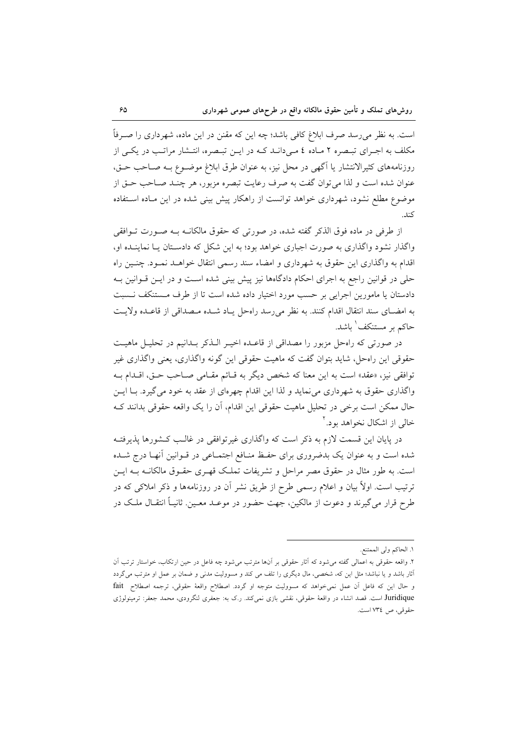است. به نظر می رسد صرف ابلاغ کافی باشد؛ چه این که مقنن در این ماده، شهرداری را صـرفاً مکلف به اجرای تبصره ۲ ماده ٤ مـیدانـد کـه در ایـن تبـصره، انتـشار مراتـب در یکـی از روزنامههای کثیرالانتشار یا آگهی در محل نیز، به عنوان طرق ابلاغ موضـوع بـه صـاحب حـق، عنوان شده است و لذا می توان گفت به صرف رعایت تبصره مزبور، هر چنـد صـاحب حـق از موضوع مطلع نشود، شهرداری خواهد توانست از راهکار پیش بینی شده در این مـاده اسـتفاده كند.

از طرفی در ماده فوق الذکر گفته شده، در صورتی که حقوق مالکانــه بــه صــورت تــوافقی واگذار نشود واگذاری به صورت اجباری خواهد بود؛ به این شکل که دادستان یـا نماینــده او، اقدام به واگذاری این حقوق به شهرداری و امضاء سند رسمی انتقال خواهـد نمـود. چنـین راه حلَّى در قوانين راجع به اجراى احكام دادگاهها نيز پيش بيني شده است و در ايـن قــوانين بــه دادستان یا مامورین اجرایی بر حسب مورد اختیار داده شده است تا از طرف مستنکف نسبت به امضـاى سند انتقال اقدام كنند. به نظر مىرسد راهحل يـاد شـده مـصداقى از قاعـده ولايـت حاکم بر مستنکف ٰ باشد.

در صورتی که راهحل مزبور را مصداقی از قاعـده اخیـر الـذکر بـدانیم در تحلیـل ماهیـت حقوقی این راهحل، شاید بتوان گفت که ماهیت حقوقی این گونه واگذاری، یعنی واگذاری غیر توافقي نيز، «عقد» است به اين معنا كه شخص ديگر به قـائم مقـامي صـاحب حـق، اقـدام بـه واگذاری حقوق به شهرداری می نماید و لذا این اقدام چهرهای از عقد به خود میگیرد. بـا ایــن حال ممکن است برخی در تحلیل ماهیت حقوقی این اقدام، اَن را یک واقعه حقوقی بدانند ک خالی از اشکال نخواهد بود.<sup>۲</sup>

در پایان این قسمت لازم به ذکر است که واگذاری غیرتوافقی در غالـب کــشورها پذیرفتــه شده است و به عنوان یک بدضروری برای حفظ منـافع اجتمـاعی در قـوانین آنهـا درج شـده است. به طور مثال در حقوق مصر مراحل و تشریفات تملک قهـری حقـوق مالکانــه بــه ایــن ترتیب است. اولاً بیان و اعلام رسمی طرح از طریق نشر اَن در روزنامهها و ذکر املاکی که در طرح قرار مي گيرند و دعوت از مالکين، جهت حضور در موعــد معــين. ثانيــاً انتقــال ملــک در

١. الحاكم ولي الممتنع.

۲. واقعه حقوقی به اعمالی گفته میشود که آثار حقوقی بر آنها مترتب میشود چه فاعل در حین ارتکاب، خواستار ترتب آن آثار باشد و یا نباشد؛ مثل این که، شخصی، مال دیگری را تلف می کند و مسوولیت مدنی و ضمان بر عمل او مترتب می گردد و حال این که فاعل آن عمل نمی خواهد که مسوولیت متوجه او گردد. اصطلاح واقعهٔ حقوقی، ترجمه اصطلاح fait Juridique است. قصد انشاء در واقعهٔ حقوقی، نقشی بازی نمیکند. ر.ک به: جعفری لنگرودی، محمد جعفر: ترمینولوژی حقوقی، ص ٧٣٤ است.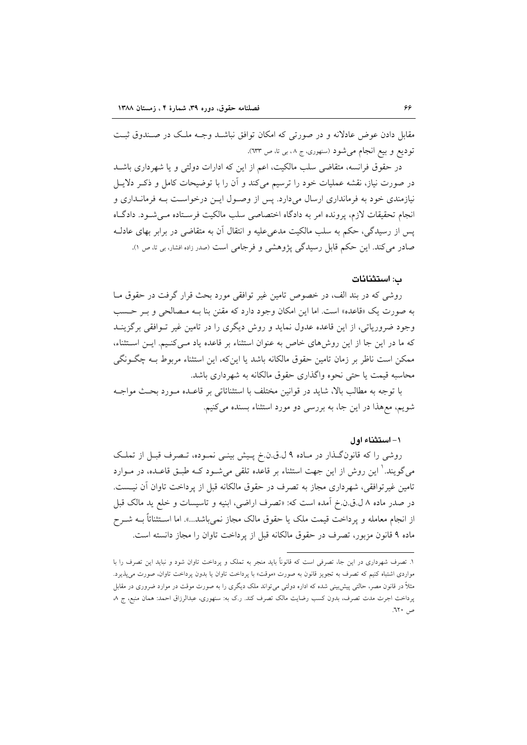مقابل دادن عوض عادلانه و در صورتی که امکان توافق نباشـد وجـه ملـک در صـندوق ثبـت توديع و بيع انجام مي شود (سنهوري، ج ٠٨، بي تا، ص ٦٣٣).

در حقوق فرانسه، متقاضی سلب مالکیت، اعم از این که ادارات دولتی و یا شهرداری باشــد در صورت نیاز، نقشه عملیات خود را ترسیم میکند و آن را با توضیحات کامل و ذکـر دلایـل نیازمندی خود به فرمانداری ارسال میدارد. پس از وصول ایـن درخواسـت بـه فرمانـداری و انجام تحقیقات لازم، پرونده امر به دادگاه اختصاصی سلب مالکیت فرسـتاده مـی شـود. دادگـاه پس از رسیدگی، حکم به سلب مالکیت مدعی علیه و انتقال آن به متقاضی در برابر بهای عادلـه صادر می کند. این حکم قابل رسیدگی پژوهشی و فرجامی است (صدر زاده افشار، بی تا، ص ۱).

#### ب: استثنائات

روشی که در بند الف، در خصوص تامین غیر توافقی مورد بحث قرار گرفت در حقوق مـا به صورت یک «قاعده» است. اما این امکان وجود دارد که مقنن بنا بـه مـصالحی و بـر حـسب وجود ضروریاتی، از این قاعده عدول نماید و روش دیگری را در تامین غیر تـوافقی برگزینــد كه ما در اين جا از اين روشهاى خاص به عنوان استثناء بر قاعده ياد مـى كنـيم. ايـن اسـتثناء، ممکن است ناظر بر زمان تامین حقوق مالکانه باشد یا این که، این استثناء مربوط بـه چگـونگی محاسبه قیمت یا حتی نحوه واگذاری حقوق مالکانه به شهرداری باشد.

با توجه به مطالب بالا، شاید در قوانین مختلف با استثنائاتی بر قاعـده مـورد بحـث مواجـه شویم، معهذا در این جا، به بررسی دو مورد استثناء بسنده میکنیم.

#### ١- استثناء اول

روشی را که قانونگذار در ماده ۹ ل.ق.ن.خ پیش بینی نموده، تصرف قبل از تملک میگویند. ٰ این روش از این جهت استثناء بر قاعده تلقی میشود کـه طبـق قاعـده، در مـوارد تامین غیرتوافقی، شهرداری مجاز به تصرف در حقوق مالکانه قبل از پرداخت تاوان آن نیـست. در صدر ماده ۸ ل.ق.ن.خ آمده است که: «تصرف اراضي، ابنيه و تاسيسات و خلع يد مالک قبل از انجام معامله و يرداخت قيمت ملک يا حقوق مالک مجاز نمي باشد...». اما اسـتثنائاً بــه شــرح ماده ۹ قانون مزبور، تصرف در حقوق مالكانه قبل از يرداخت تاوان را مجاز دانسته است.

۱. تصرف شهرداری در این جا، تصرفی است که قانوناً باید منجر به تملک و پرداخت تاوان شود و نباید این تصرف را با مواردی اشتباه کنیم که تصرف به تجویز قانون به صورت «موقت» با پرداخت تاوان یا بدون پرداخت تاوان، صورت می پذیرد. مثلاً در قانون مصر، حالتی پیش بینی شده که اداره دولتی می تواند ملک دیگری را به صورت موقت در موارد ضروری در مقابل پرداخت اجرت مدت تصرف، بدون کسب رضایت مالک تصرف کند. ر.ک به: سنهوری، عبدالرزاق احمد: همان منبع، ج ٨ ص ٦٢٠.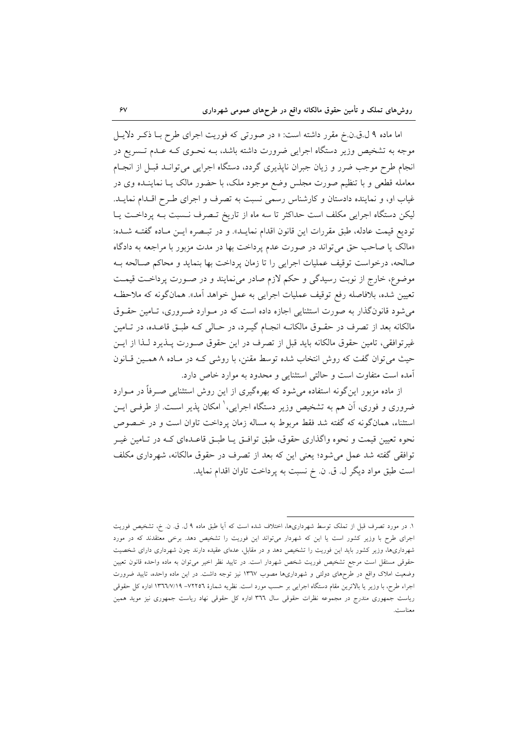اما ماده ۹ ل.ق.ن.خ مقرر داشته است: « در صورتی که فوریت اجرای طرح بـا ذکـر دلایـل موجه به تشخیص وزیر دستگاه اجرایی ضرورت داشته باشد، بـه نحـوی کـه عـدم تـسریع در انجام طرح موجب ضرر و زیان جبران ناپذیری گردد، دستگاه اجرایی میتوانـد قبـل از انجـام معامله قطعی و با تنظیم صورت مجلس وضع موجود ملک، با حضور مالک یــا نماینــده وی در غیاب او، و نماینده دادستان و کارشناس رسمی نسبت به تصرف و اجرای طـرح اقـدام نمایـد. لیکن دستگاه اجرایی مکلف است حداکثر تا سه ماه از تاریخ تـصرف نـسبت بـه پرداخـت یـا توديع قيمت عادله، طبق مقررات اين قانون اقدام نمايـد». و در تبـصره ايـن مـاده گفتـه شـده: «مالک یا صاحب حق می تواند در صورت عدم پرداخت بها در مدت مزبور با مراجعه به دادگاه صالحه، درخواست توقیف عملیات اجرایی را تا زمان پرداخت بها بنماید و محاکم صـالحه بـه موضوع، خارج از نوبت رسیدگی و حکم لازم صادر می نمایند و در صـورت پرداخـت قیمـت تعيين شده، بلافاصله رفع توقيف عمليات اجرايي به عمل خواهد آمد». همانگونه كه ملاحظـه می شود قانونگذار به صورت استثنایی اجازه داده است که در مـوارد ضـروری، تـامین حقـوق مالکانه بعد از تصرف در حقـوق مالکانــه انجـام گیـرد، در حـالی کــه طبـق قاعـده، در تــامین غیرتوافقی، تامین حقوق مالکانه باید قبل از تصرف در این حقوق صـورت پــذیرد لــذا از ایــن حیث می توان گفت که روش انتخاب شده توسط مقنن، با روشی کـه در مـاده ٨ همـين قـانون آمده است متفاوت است و حالتي استثنايي و محدود به موارد خاص دارد.

از ماده مزبور اینگونه استفاده می شود که بهرهگیری از این روش استثنایی صـرفاً در مـوارد ضروری و فوری، اَن هم به تشخیص وزیر دستگاه اجرایی،<sup>۱</sup> امکان پذیر اسـت. از طرفــی ایــن استثناء، همانگونه که گفته شد فقط مربوط به مساله زمان پرداخت تاوان است و در خـصوص نحوه تعیین قیمت و نحوه واگذاری حقوق، طبق توافـق یـا طبـق قاعـدهای کـه در تـامین غیـر توافقی گفته شد عمل می شود؛ یعنی این که بعد از تصرف در حقوق مالکانه، شهرداری مکلف است طبق مواد ديگر ل. ق. ن. خ نسبت به پرداخت تاوان اقدام نمايد.

١. در مورد تصرف قبل از تملک توسط شهرداریها، اختلاف شده است که آیا طبق ماده ٩ ل. ق. ن. خ، تشخیص فوریت اجرای طرح با وزیر کشور است یا این که شهردار میتواند این فوریت را تشخیص دهد. برخی معتقدند که در مورد شهرداریها، وزیر کشور باید این فوریت را تشخیص دهد و در مقابل، عدمای عقیده دارند چون شهرداری دارای شخصیت حقوقی مستقل است مرجع تشخیص فوریت شخص شهردار است. در تایید نظر اخیر میتوان به ماده واحده قانون تعیین وضعیت املاک واقع در طرحهای دولتی و شهرداریها مصوب ۱۳٦۷ نیز توجه داشت. در این ماده واحده، تایید ضرورت اجراء طرح، با وزیر یا بالاترین مقام دستگاه اجرایی بر حسب مورد است. نظریه شمارهٔ ۷۲۲۵٦– ۱۳٦٦/۷/۱۹ اداره کل حقوقی ریاست جمهوری مندرج در مجموعه نظرات حقوقی سال ۳۶٦ اداره کل حقوقی نهاد ریاست جمهوری نیز موید همین معناست.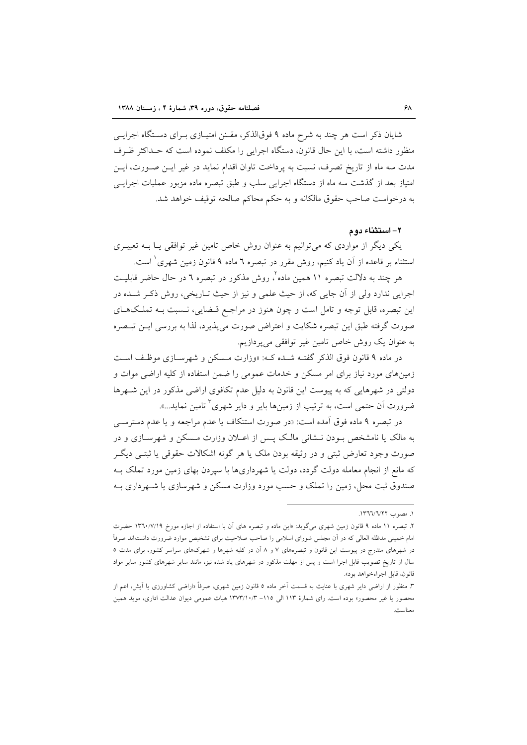شایان ذکر است هر چند به شرح ماده ۹ فوقالذکر، مقـنن امتیـازی بـرای دسـتگاه اجرایــی منظور داشته است، با این حال قانون، دستگاه اجرایی را مکلف نموده است که حـداکثر ظـرف مدت سه ماه از تاریخ تصرف، نسبت به پرداخت تاوان اقدام نماید در غیر ایــن صــورت، ایــن امتیاز بعد از گذشت سه ماه از دستگاه اجرایی سلب و طبق تبصره ماده مزبور عملیات اجرایـی به درخواست صاحب حقوق مالكانه و به حكم محاكم صالحه توقيف خواهد شد.

#### ۲– استثناء دوم

یکی دیگر از مواردی که می توانیم به عنوان روش خاص تامین غیر توافقی یـا بــه تعبیــری استثناء بر قاعده از آن یاد کنیم، روش مقرر در تبصره ٦ ماده ۹ قانون زمین شهری ْ است.

هر چند به دلالت تبصره ۱۱ همین ماده ٔ، روش مذکور در تبصره ٦ در حال حاضر قابلیت اجرایی ندارد ولی از آن جایی که، از حیث علمی و نیز از حیث تـاریخی، روش ذکـر شـده در این تبصره، قابل توجه و تامل است و چون هنوز در مراجع قـضایی، نـسبت بـه تملـکهـای صورت گرفته طبق این تبصره شکایت و اعتراض صورت می پذیرد، لذا به بررسی ایــن تبــصره به عنوان یک روش خاص تامین غیر توافقی میپردازیم.

در ماده ۹ قانون فوق الذكر گفتـه شـده كـه: «وزارت مـسكن و شهرسـازى موظـف اسـت زمینهای مورد نیاز برای امر مسکن و خدمات عمومی را ضمن استفاده از کلیه اراضی موات و دولتی در شهرهایی که به پیوست این قانون به دلیل عدم تکافوی اراضی مذکور در این شهرها ضرورت آن حتمی است، به ترتیب از زمینها بایر و دایر شهری ٔ تامین نماید…».

در تبصره ۹ ماده فوق آمده است: «در صورت استنکاف یا عدم مراجعه و یا عدم دسترســی به مالک یا نامشخص بودن نـشانی مالـک پـس از اعـلان وزارت مـسکن و شهرسـازی و در صورت وجود تعارض ثبتی و در وثیقه بودن ملک یا هر گونه اشکالات حقوقی یا ثبتـی دیگـر که مانع از انجام معامله دولت گردد، دولت یا شهرداریها با سیردن بهای زمین مورد تملک بـه صندوق ثبت محل، زمین را تملک و حسب مورد وزارت مسکن و شهرسازی یا شـهرداری بـه

١. مصدر ١٣٦٦/٦/٢٢.

۲. تبصره ۱۱ ماده ۹ قانون زمین شهری میگوید: «این ماده و تبصره های آن با استفاده از اجازه مورخ ۱۳٦٠/۷/۱۹ حضرت امام خمینی مدظله العالی که در آن مجلس شورای اسلامی را صاحب صلاحیت برای تشخیص موارد ضرورت دانستهاند صرفاً در شهرهای مندرج در پیوست این قانون و تبصرههای ۷ و ۸ آن در کلیه شهرها و شهرکهای سراسر کشور، برای مدت ٥ سال از تاریخ تصویب قابل اجرا است و پس از مهلت مذکور در شهرهای یاد شده نیز، مانند سایر شهرهای کشور سایر مواد قانون، قابل اجراءخواهد بود».

۳. منظور از اراضی دایر شهری با عنایت به قسمت آخر ماده ۵ قانون زمین شهری، صرفاً «اراضی کشاورزی یا آیش، اعم از محصور یا غیر محصور» بوده است. رای شمارهٔ ۱۱۳ الی ۱۵– ۱۳۷۳/۱۰/۳ هیات عمومی دیوان عدالت اداری، موید همین معناست.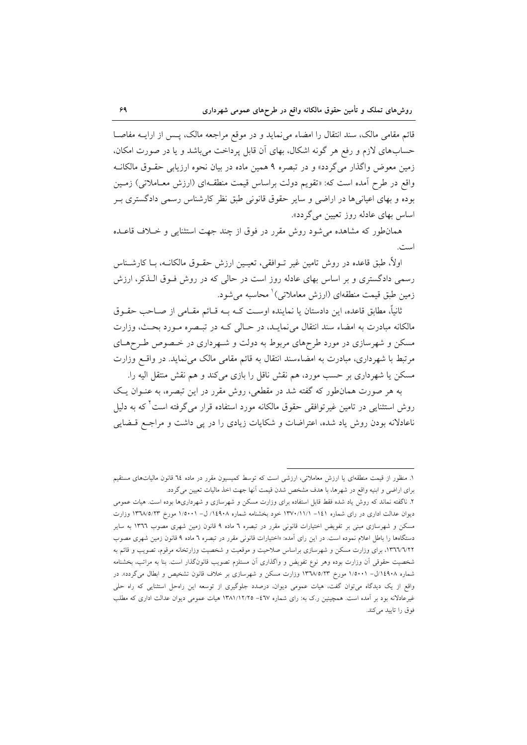قائم مقامی مالک، سند انتقال را امضاء می نماید و در موقع مراجعه مالک، پس از ارایــه مفاصــا حسابهای لازم و رفع هر گونه اشکال، بهای آن قابل پرداخت می باشد و یا در صورت امکان، زمین معوض واگذار میگردد» و در تبصره ۹ همین ماده در بیان نحوه ارزیابی حقـوق مالکانــه واقع در طرح آمده است که: «تقویم دولت براساس قیمت منطقـهای (ارزش معـاملاتی) زمـین بوده و بهای اعیانیها در اراضی و سایر حقوق قانونی طبق نظر کارشناس رسمی دادگستری بـر اساس بهای عادله روز تعیین می گردد».

همان طور که مشاهده می شود روش مقرر در فوق از چند جهت استثنایی و خبلاف قاعـده است.

اولاً، طبق قاعده در روش تامین غیر تــوافقی، تعیــین ارزش حقــوق مالکانــه، بــا کارشــناس رسمی دادگستری و بر اساس بهای عادله روز است در حالی که در روش فـوق الـذکر، ارزش زمین طبق قیمت منطقهای (ارزش معاملاتی) محاسبه می شود.

ثانیاً، مطابق قاعده، این دادستان یا نماینده اوسـت کــه بــه قــائم مقــامی از صــاحب حقــوق مالکانه مبادرت به امضاء سند انتقال می نمایـد، در حـالی کـه در تبـصره مـورد بحـث، وزارت مسکن و شهرسازی در مورد طرحهای مربوط به دولت و شـهرداری در خـصوص طـرحهـای مرتبط با شهرداری، مبادرت به امضاءسند انتقال به قائم مقامی مالک می نماید. در واقع وزارت مسکن یا شهرداری بر حسب مورد، هم نقش ناقل را بازی میکند و هم نقش منتقل الیه را.

به هر صورت همان طور که گفته شد در مقطعی، روش مقرر در این تبصره، به عنـوان یـک روش استثنایی در تامین غیرتوافقی حقوق مالکانه مورد استفاده قرار می گرفته است که به دلیل ناعادلانه بودن روش یاد شده، اعتراضات و شکایات زیادی را در پی داشت و مراجع قبضایی

۱. منظور از قیمت منطقهای یا ارزش معاملاتی، ارزشی است که توسط کمیسیون مقرر در ماده ٦٤ قانون مالیاتهای مستقیم برای اراضی و ابنیه واقع در شهرها، با هدف مشخص شدن قیمت آنها جهت اخذ مالیات تعیین میگردد.

۲. ناگفته نماند که روش یاد شده فقط قابل استفاده برای وزارت مسکن و شهرسازی و شهرداریها بوده است. هیات عمومی دیوان عدالت اداری در رای شماره ۱٤۱– ۱۳۷۰/۱۱/۱ خود بخشنامه شماره ۱۶۹۰۸/ ل- ۱/۵۰۰۱ مورخ ۱۳٦٨/٥/۲۳ وزارت مسکن و شهرسازی مبنی بر تفویض اختیارات قانونی مقرر در تبصره ٦ ماده ۹ قانون زمین شهری مصوب ١٣٦٦ به سایر دستگاهها را باطل اعلام نموده است. در این رای آمده: «اختیارات قانونی مقرر در تبصره ٦ ماده ۹ قانون زمین شهری مصوب ۰۱۳٦٦/٦/٢٢ برای وزارت مسکن و شهرسازی براساس صلاحیت و موقعیت و شخصیت وزارتخانه مرقوم، تصویب و قائم به شخصیت حقوقی آن وزارت بوده وهر نوع تفویض و واگذاری آن مستلزم تصویب قانونگذار است. بنا به مراتب، بخشنامه شماره ۱/۱٤۹۰۸ل- ۱/۰۰۱۱ مورخ ۱۳٦٨/٥/۲۳ وزارت مسکن و شهرسازی بر خلاف قانون تشخیص و ابطال میگردد». در واقع از یک دیدگاه می توان گفت، هیات عمومی دیوان، درصدد جلوگیری از توسعه این راهحل استثنایی که راه حلی غیرعادلانه بود بر آمده است. همچنین ر.ک به: رای شماره ٤٦٧- ١٣٨١/١٢/٢٥ هیات عمومی دیوان عدالت اداری که مطلب فوق را تاييد مى كند.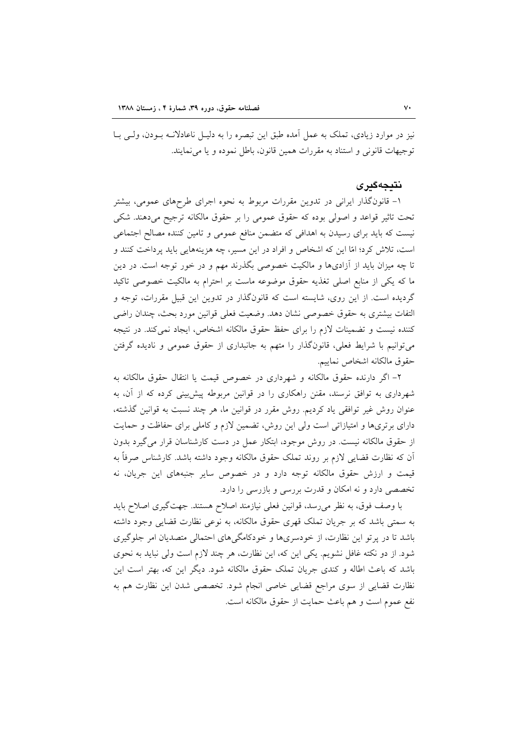نیز در موارد زیادی، تملک به عمل آمده طبق این تبصره را به دلیـل ناعادلانــه بــودن، ولــی بــا توجيهات قانوني و استناد به مقررات همين قانون، باطل نموده و يا مي نمايند.

#### نتىجەگىرى

۱- قانونگذار ایرانی در تدوین مقررات مربوط به نحوه اجرای طرحهای عمومی، بیشتر تحت تاثیر قواعد و اصولی بوده که حقوق عمومی را بر حقوق مالکانه ترجیح میدهند. شکی نیست که باید برای رسیدن به اهدافی که متضمن منافع عمومی و تامین کننده مصالح اجتماعی است، تلاش کرد؛ امّا این که اشخاص و افراد در این مسیر، چه هزینههایی باید پرداخت کنند و تا چه میزان باید از آزادیها و مالکیت خصوصی بگذرند مهم و در خور توجه است. در دین ما که یکی از منابع اصلی تغذیه حقوق موضوعه ماست بر احترام به مالکیت خصوصی تاکید گردیده است. از این روی، شایسته است که قانونگذار در تدوین این قبیل مقررات، توجه و التفات بیشتری به حقوق خصوصی نشان دهد. وضعیت فعلی قوانین مورد بحث، چندان راضی كننده نيست و تضمينات لازم را براى حفظ حقوق مالكانه اشخاص، ايجاد نمى كند. در نتيجه می توانیم با شرایط فعلی، قانونگذار را متهم به جانبداری از حقوق عمومی و نادیده گرفتن حقوق مالكانه اشخاص نماييم.

۲- اگر دارنده حقوق مالکانه و شهرداری در خصوص قیمت یا انتقال حقوق مالکانه به شهرداری به توافق نرسند، مقنن راهکاری را در قوانین مربوطه پیش بینی کرده که از آن، به عنوان روش غیر توافقی یاد کردیم. روش مقرر در قوانین ما، هر چند نسبت به قوانین گذشته، دارای برتریها و امتیازاتی است ولی این روش، تضمین لازم و کاملی برای حفاظت و حمایت از حقوق مالکانه نیست. در روش موجود، ابتکار عمل در دست کارشناسان قرار می گیرد بدون اّن که نظارت قضایی لازم بر روند تملک حقوق مالکانه وجود داشته باشد. کارشناس صرفاً به قیمت و ارزش حقوق مالکانه توجه دارد و در خصوص سایر جنبههای این جریان، نه تخصصی دارد و نه امکان و قدرت بررسی و بازرسی را دارد.

با وصف فوق، به نظر می رسد، قوانین فعلی نیازمند اصلاح هستند. جهتگیری اصلاح باید به سمتی باشد که بر جریان تملک قهری حقوق مالکانه، به نوعی نظارت قضایی وجود داشته باشد تا در پر تو این نظارت، از خودسریها و خودکامگی های احتمالی متصدیان امر جلوگیری شود. از دو نکته غافل نشویم. یکی این که، این نظارت، هر چند لازم است ولی نباید به نحوی باشد که باعث اطاله و کندی جریان تملک حقوق مالکانه شود. دیگر این که، بهتر است این نظارت قضایی از سوی مراجع قضایی خاصی انجام شود. تخصصی شدن این نظارت هم به نفع عموم است و هم باعث حمايت از حقوق مالكانه است.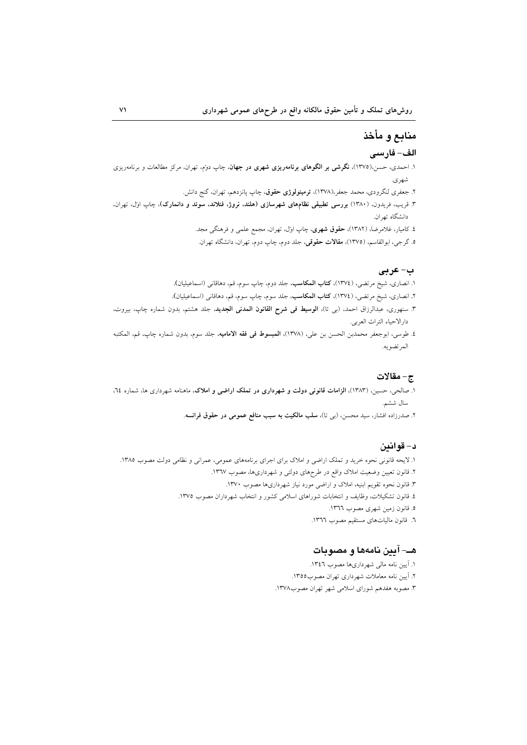# منابع و مأخذ

## الف– فارسى

- ۱. احمدی، حسن،(۱۳۷۵). **نگرشی بر الگوهای برنامهریزی شهری در جهان**، چاپ دونم، تهران، مرکز مطالعات و برنامهریزی شهري.
	- ۲. جعفری لنگرودی، محمد جعفر،(۱۳۷۸)، **ترمینولوژی حقوق**، چاپ پانزدهم، تهران، گنج دانش.
- ۳. قریب، فریدون، (۱۳۸۰) **بررسی تطبیقی نظامهای شهرسازی (هلند. نروژ، فنلاند. سوئد و دانمارک)**، چاپ او*ژ*ل، تهران، دانشگاه تهران.
	- ٤. کامیار، غلامرضا، (١٣٨٢)، حقوق شهری، چاپ اول، تهران، مجمع علمی و فرهنگی مجد.
	- ۵. گرجی، ابوالقاسم، (۱۳۷۵)، **مقالات حقوقی**، جلد دوم، چاپ دوم، تهران، دانشگاه تهران.

#### ب-عربي

- ۱. انصاری، شیخ مرتضی، (١٣٧٤)، **کتاب المکاسب**، جلد دوم، چاپ سوم، قم، دهاقانی (اسماعیلیان).
- ۲. انصاری، شیخ مرتضی، (١٣٧٤)، **کتاب المکاسب**، جلد سوم، چاپ سوم، قم، دهاقانی (اسماعیلیان).
- ۳. سنهوری، عبدالرزاق احمد، (بی تا)، **الوسیط فی شرح القانون المدنی الجدید**، جلد هشتم، بدون شماره چاپ، بیروت، دارالاحياء التراث العربي.
- ٤. طوسى، ابوجعفر محمدبن الحسن بن علي، (١٣٧٨)، **المبسوط في فقه الاماميه**، جلد سوم، بدون شماره چاپ، قم، المكتبه المرتضويه.

#### ج- مقالات

- ۱. صالحی، حسین، (۱۳۸۳)، **الزامات قانونی دولت و شهرداری در تملک اراضی و املاک**، ماهنامه شهرداری ها، شماره ۲٤، سال ششم.
	- ۲. صدرزاده افشار، سید محسن، (ب<sub>ی</sub> تا)، **سلب مالکیت به سبب منافع عمومی در حقوق فرانسه**.

#### د- قوانين

- ١. لايحه قانوني نحوه خريد و تملك اراضي و املاك براي اجراي برنامههاي عمومي، عمراني و نظامي دولت مصوب ١٣٨٥.
	- ۲. قانون تعیین وضعیت املاک واقع در طرحهای دولتی و شهرداریها، مصوب ۱۳٦۷.
		- ۳. قانون نحوه تقویم ابنیه، املاک و اراضی مورد نیاز شهرداریها مصوب ۱۳۷۰.
	- ٤. قانون تشکیلات، وظایف و انتخابات شوراهای اسلامی کشور و انتخاب شهرداران مصوب ١٣٧٥.
		- ٥. قانون زمين شهري مصوب ١٣٦٦.
		- ٦. قانون مالياتهاي مستقيم مصوب ١٣٦٦.

#### هـــ- آيين نامهها و مصوبات

- ١. آيين نامه مالي شهرداريها مصوب ١٣٤٦. ۲. آیین نامه معاملات شهرداری تهران مصوب۱۳۵۵.
- ۳. مصوبه هفدهم شوراي اسلامي شهر تهران مصوب١٣٧٨.